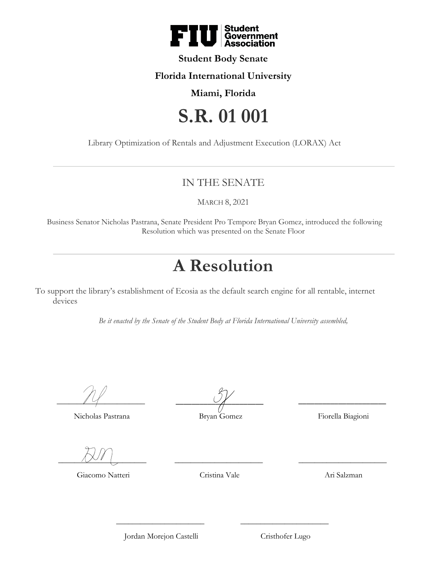

#### **Student Body Senate**

#### **Florida International University**

### **Miami, Florida**

# **S.R. 01 001**

Library Optimization of Rentals and Adjustment Execution (LORAX) Act

## IN THE SENATE

MARCH 8, 2021

Business Senator Nicholas Pastrana, Senate President Pro Tempore Bryan Gomez, introduced the following Resolution which was presented on the Senate Floor

## **A Resolution**

To support the library's establishment of Ecosia as the default search engine for all rentable, internet devices

*Be it enacted by the Senate of the Student Body at Florida International University assembled,*

 $\overline{\phantom{a}14}$ 

Nicholas Pastrana

 $\cup$   $\angle$ 

Bryan Gomez

Fiorella Biagioni

\_\_\_\_\_\_\_\_\_\_\_\_\_\_\_\_\_\_\_\_\_\_

 $\overline{\phantom{1.55}$ 

Giacomo Natteri

Cristina Vale

\_\_\_\_\_\_\_\_\_\_\_\_\_\_\_\_\_\_\_\_\_\_

\_\_\_\_\_\_\_\_\_\_\_\_\_\_\_\_\_\_\_\_\_\_ Ari Salzman

Jordan Morejon Castelli

 $\overline{\phantom{a}}$  , where  $\overline{\phantom{a}}$ 

 $\overline{\phantom{a}}$  , where  $\overline{\phantom{a}}$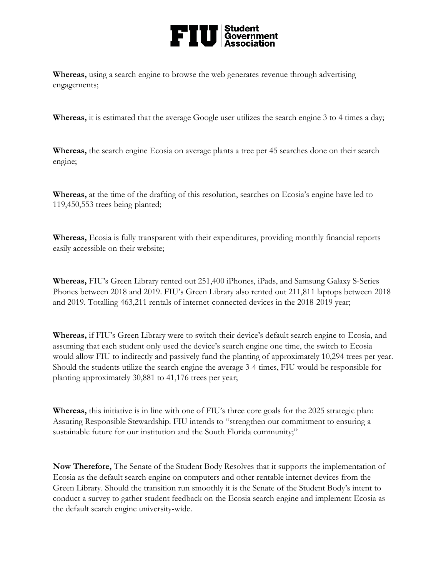

**Whereas,** using a search engine to browse the web generates revenue through advertising engagements;

**Whereas,** it is estimated that the average Google user utilizes the search engine 3 to 4 times a day;

**Whereas,** the search engine Ecosia on average plants a tree per 45 searches done on their search engine;

**Whereas,** at the time of the drafting of this resolution, searches on Ecosia's engine have led to 119,450,553 trees being planted;

**Whereas,** Ecosia is fully transparent with their expenditures, providing monthly financial reports easily accessible on their website;

**Whereas,** FIU's Green Library rented out 251,400 iPhones, iPads, and Samsung Galaxy S-Series Phones between 2018 and 2019. FIU's Green Library also rented out 211,811 laptops between 2018 and 2019. Totalling 463,211 rentals of internet-connected devices in the 2018-2019 year;

**Whereas,** if FIU's Green Library were to switch their device's default search engine to Ecosia, and assuming that each student only used the device's search engine one time, the switch to Ecosia would allow FIU to indirectly and passively fund the planting of approximately 10,294 trees per year. Should the students utilize the search engine the average 3-4 times, FIU would be responsible for planting approximately 30,881 to 41,176 trees per year;

**Whereas,** this initiative is in line with one of FIU's three core goals for the 2025 strategic plan: Assuring Responsible Stewardship. FIU intends to "strengthen our commitment to ensuring a sustainable future for our institution and the South Florida community;"

**Now Therefore,** The Senate of the Student Body Resolves that it supports the implementation of Ecosia as the default search engine on computers and other rentable internet devices from the Green Library. Should the transition run smoothly it is the Senate of the Student Body's intent to conduct a survey to gather student feedback on the Ecosia search engine and implement Ecosia as the default search engine university-wide.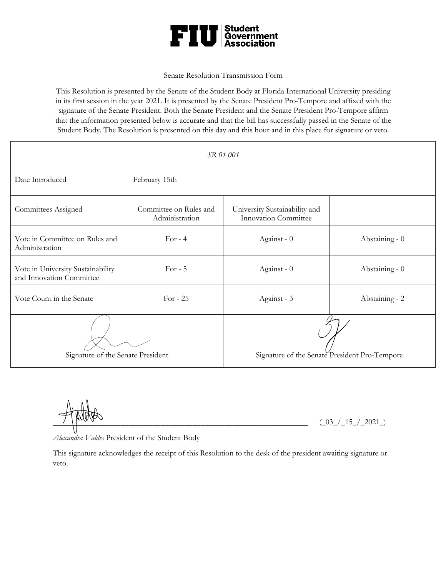

#### Senate Resolution Transmission Form

This Resolution is presented by the Senate of the Student Body at Florida International University presiding in its first session in the year 2021. It is presented by the Senate President Pro-Tempore and affixed with the signature of the Senate President. Both the Senate President and the Senate President Pro-Tempore affirm that the information presented below is accurate and that the bill has successfully passed in the Senate of the Student Body. The Resolution is presented on this day and this hour and in this place for signature or veto.

| SR 01 001                                                     |                                          |                                                              |                |  |  |  |  |  |
|---------------------------------------------------------------|------------------------------------------|--------------------------------------------------------------|----------------|--|--|--|--|--|
| Date Introduced                                               | February 15th                            |                                                              |                |  |  |  |  |  |
| <b>Committees Assigned</b>                                    | Committee on Rules and<br>Administration | University Sustainability and<br><b>Innovation Committee</b> |                |  |  |  |  |  |
| Vote in Committee on Rules and<br>Administration              | For $-4$                                 | Against - 0                                                  | Abstaining - 0 |  |  |  |  |  |
| Vote in University Sustainability<br>and Innovation Committee | For $-5$                                 | Against - 0                                                  | Abstaining - 0 |  |  |  |  |  |
| Vote Count in the Senate                                      | For $-25$                                | Against - 3                                                  | Abstaining - 2 |  |  |  |  |  |
| Signature of the Senate President                             |                                          | Signature of the Senate President Pro-Tempore                |                |  |  |  |  |  |

 $(\_03\_\_\_\15\_\_\_2021\_)$ 

*Alexandra Valdes* President of the Student Body

This signature acknowledges the receipt of this Resolution to the desk of the president awaiting signature or veto.